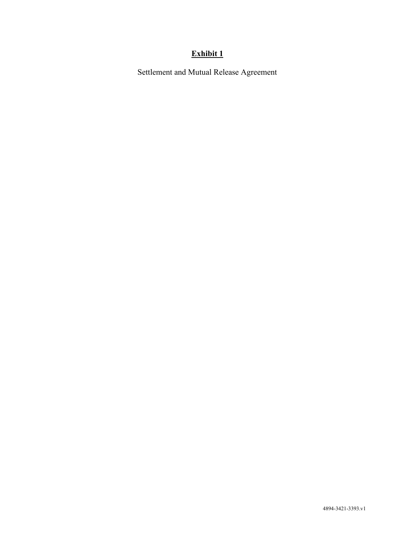# **Exhibit 1**

Settlement and Mutual Release Agreement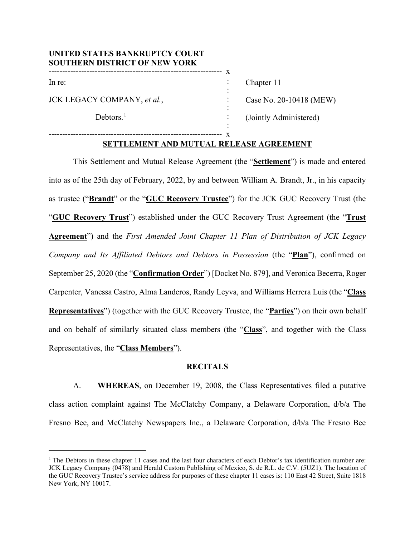### **UNITED STATES BANKRUPTCY COURT SOUTHERN DISTRICT OF NEW YORK** ---------------------------------------------------------------- x

---------------------------------------------------------------- x

In re:

JCK LEGACY COMPANY, *et al.*,

Debtors. $<sup>1</sup>$  $<sup>1</sup>$  $<sup>1</sup>$ </sup>

Chapter 11 Case No. 20-10418 (MEW)

(Jointly Administered)

# **SETTLEMENT AND MUTUAL RELEASE AGREEMENT**

: : : : : :

This Settlement and Mutual Release Agreement (the "**Settlement**") is made and entered into as of the 25th day of February, 2022, by and between William A. Brandt, Jr., in his capacity as trustee ("**Brandt**" or the "**GUC Recovery Trustee**") for the JCK GUC Recovery Trust (the "**GUC Recovery Trust**") established under the GUC Recovery Trust Agreement (the "**Trust Agreement**") and the *First Amended Joint Chapter 11 Plan of Distribution of JCK Legacy Company and Its Affiliated Debtors and Debtors in Possession* (the "**Plan**"), confirmed on September 25, 2020 (the "**Confirmation Order**") [Docket No. 879], and Veronica Becerra, Roger Carpenter, Vanessa Castro, Alma Landeros, Randy Leyva, and Williams Herrera Luis (the "**Class Representatives**") (together with the GUC Recovery Trustee, the "**Parties**") on their own behalf and on behalf of similarly situated class members (the "**Class**", and together with the Class Representatives, the "**Class Members**").

### **RECITALS**

A. **WHEREAS**, on December 19, 2008, the Class Representatives filed a putative class action complaint against The McClatchy Company, a Delaware Corporation, d/b/a The Fresno Bee, and McClatchy Newspapers Inc., a Delaware Corporation, d/b/a The Fresno Bee

<span id="page-1-0"></span><sup>&</sup>lt;sup>1</sup> The Debtors in these chapter 11 cases and the last four characters of each Debtor's tax identification number are: JCK Legacy Company (0478) and Herald Custom Publishing of Mexico, S. de R.L. de C.V. (5UZ1). The location of the GUC Recovery Trustee's service address for purposes of these chapter 11 cases is: 110 East 42 Street, Suite 1818 New York, NY 10017.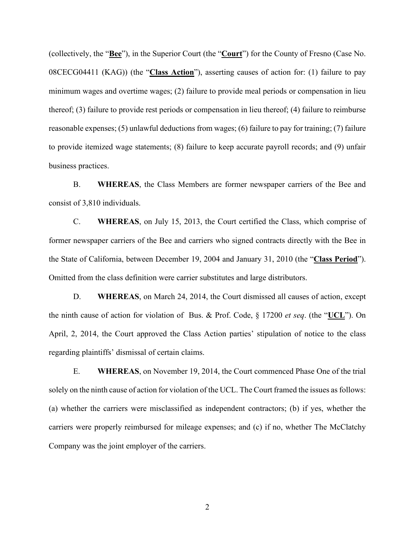(collectively, the "**Bee**"), in the Superior Court (the "**Court**") for the County of Fresno (Case No. 08CECG04411 (KAG)) (the "**Class Action**"), asserting causes of action for: (1) failure to pay minimum wages and overtime wages; (2) failure to provide meal periods or compensation in lieu thereof; (3) failure to provide rest periods or compensation in lieu thereof; (4) failure to reimburse reasonable expenses; (5) unlawful deductions from wages; (6) failure to pay for training; (7) failure to provide itemized wage statements; (8) failure to keep accurate payroll records; and (9) unfair business practices.

B. **WHEREAS**, the Class Members are former newspaper carriers of the Bee and consist of 3,810 individuals.

C. **WHEREAS**, on July 15, 2013, the Court certified the Class, which comprise of former newspaper carriers of the Bee and carriers who signed contracts directly with the Bee in the State of California, between December 19, 2004 and January 31, 2010 (the "**Class Period**"). Omitted from the class definition were carrier substitutes and large distributors.

D. **WHEREAS**, on March 24, 2014, the Court dismissed all causes of action, except the ninth cause of action for violation of Bus. & Prof. Code, § 17200 *et seq*. (the "**UCL**"). On April, 2, 2014, the Court approved the Class Action parties' stipulation of notice to the class regarding plaintiffs' dismissal of certain claims.

E. **WHEREAS**, on November 19, 2014, the Court commenced Phase One of the trial solely on the ninth cause of action for violation of the UCL. The Court framed the issues as follows: (a) whether the carriers were misclassified as independent contractors; (b) if yes, whether the carriers were properly reimbursed for mileage expenses; and (c) if no, whether The McClatchy Company was the joint employer of the carriers.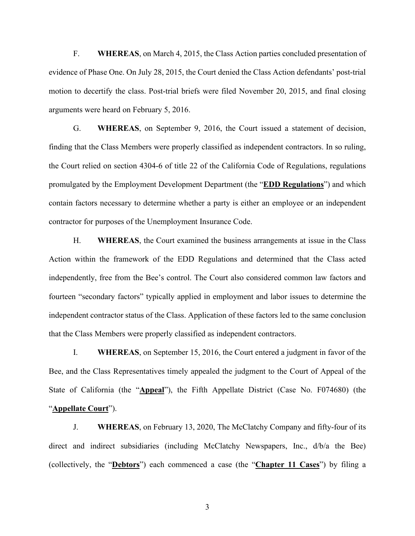F. **WHEREAS**, on March 4, 2015, the Class Action parties concluded presentation of evidence of Phase One. On July 28, 2015, the Court denied the Class Action defendants' post-trial motion to decertify the class. Post-trial briefs were filed November 20, 2015, and final closing arguments were heard on February 5, 2016.

G. **WHEREAS**, on September 9, 2016, the Court issued a statement of decision, finding that the Class Members were properly classified as independent contractors. In so ruling, the Court relied on section 4304-6 of title 22 of the California Code of Regulations, regulations promulgated by the Employment Development Department (the "**EDD Regulations**") and which contain factors necessary to determine whether a party is either an employee or an independent contractor for purposes of the Unemployment Insurance Code.

H. **WHEREAS**, the Court examined the business arrangements at issue in the Class Action within the framework of the EDD Regulations and determined that the Class acted independently, free from the Bee's control. The Court also considered common law factors and fourteen "secondary factors" typically applied in employment and labor issues to determine the independent contractor status of the Class. Application of these factors led to the same conclusion that the Class Members were properly classified as independent contractors.

I. **WHEREAS**, on September 15, 2016, the Court entered a judgment in favor of the Bee, and the Class Representatives timely appealed the judgment to the Court of Appeal of the State of California (the "**Appeal**"), the Fifth Appellate District (Case No. F074680) (the "**Appellate Court**").

J. **WHEREAS**, on February 13, 2020, The McClatchy Company and fifty-four of its direct and indirect subsidiaries (including McClatchy Newspapers, Inc., d/b/a the Bee) (collectively, the "**Debtors**") each commenced a case (the "**Chapter 11 Cases**") by filing a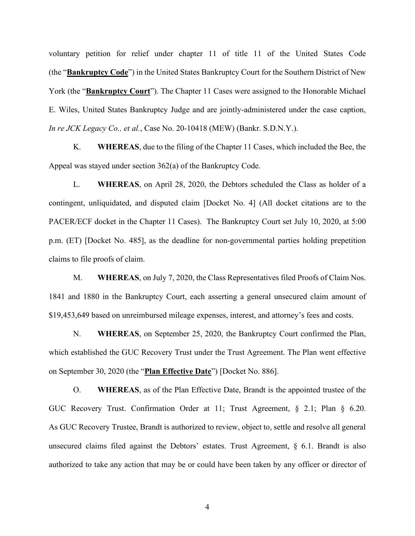voluntary petition for relief under chapter 11 of title 11 of the United States Code (the "**Bankruptcy Code**") in the United States Bankruptcy Court for the Southern District of New York (the "**Bankruptcy Court**"). The Chapter 11 Cases were assigned to the Honorable Michael E. Wiles, United States Bankruptcy Judge and are jointly-administered under the case caption, *In re JCK Legacy Co., et al.*, Case No. 20-10418 (MEW) (Bankr. S.D.N.Y.).

K. **WHEREAS**, due to the filing of the Chapter 11 Cases, which included the Bee, the Appeal was stayed under section 362(a) of the Bankruptcy Code.

L. **WHEREAS**, on April 28, 2020, the Debtors scheduled the Class as holder of a contingent, unliquidated, and disputed claim [Docket No. 4] (All docket citations are to the PACER/ECF docket in the Chapter 11 Cases). The Bankruptcy Court set July 10, 2020, at 5:00 p.m. (ET) [Docket No. 485], as the deadline for non-governmental parties holding prepetition claims to file proofs of claim.

M. **WHEREAS**, on July 7, 2020, the Class Representatives filed Proofs of Claim Nos. 1841 and 1880 in the Bankruptcy Court, each asserting a general unsecured claim amount of \$19,453,649 based on unreimbursed mileage expenses, interest, and attorney's fees and costs.

N. **WHEREAS**, on September 25, 2020, the Bankruptcy Court confirmed the Plan, which established the GUC Recovery Trust under the Trust Agreement. The Plan went effective on September 30, 2020 (the "**Plan Effective Date**") [Docket No. 886].

O. **WHEREAS**, as of the Plan Effective Date, Brandt is the appointed trustee of the GUC Recovery Trust. Confirmation Order at 11; Trust Agreement, § 2.1; Plan § 6.20. As GUC Recovery Trustee, Brandt is authorized to review, object to, settle and resolve all general unsecured claims filed against the Debtors' estates. Trust Agreement, § 6.1. Brandt is also authorized to take any action that may be or could have been taken by any officer or director of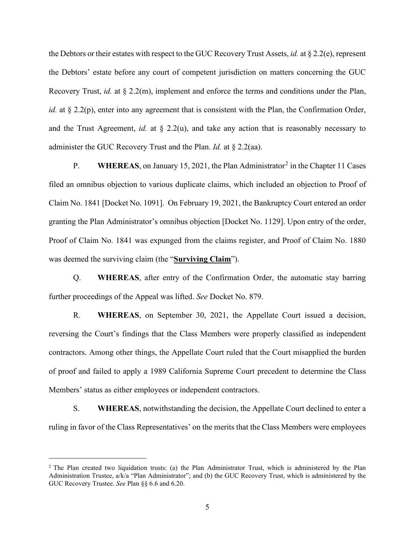the Debtors or their estates with respect to the GUC Recovery Trust Assets, *id.* at § 2.2(e), represent the Debtors' estate before any court of competent jurisdiction on matters concerning the GUC Recovery Trust, *id.* at § 2.2(m), implement and enforce the terms and conditions under the Plan, *id.* at § 2.2(p), enter into any agreement that is consistent with the Plan, the Confirmation Order, and the Trust Agreement, *id.* at  $\S$  2.2(u), and take any action that is reasonably necessary to administer the GUC Recovery Trust and the Plan. *Id.* at § 2.2(aa).

P. **WHEREAS**, on January 15, [2](#page-5-0)021, the Plan Administrator<sup>2</sup> in the Chapter 11 Cases filed an omnibus objection to various duplicate claims, which included an objection to Proof of Claim No. 1841 [Docket No. 1091]. On February 19, 2021, the Bankruptcy Court entered an order granting the Plan Administrator's omnibus objection [Docket No. 1129]. Upon entry of the order, Proof of Claim No. 1841 was expunged from the claims register, and Proof of Claim No. 1880 was deemed the surviving claim (the "**Surviving Claim**").

Q. **WHEREAS**, after entry of the Confirmation Order, the automatic stay barring further proceedings of the Appeal was lifted. *See* Docket No. 879.

R. **WHEREAS**, on September 30, 2021, the Appellate Court issued a decision, reversing the Court's findings that the Class Members were properly classified as independent contractors. Among other things, the Appellate Court ruled that the Court misapplied the burden of proof and failed to apply a 1989 California Supreme Court precedent to determine the Class Members' status as either employees or independent contractors.

S. **WHEREAS**, notwithstanding the decision, the Appellate Court declined to enter a ruling in favor of the Class Representatives' on the merits that the Class Members were employees

<span id="page-5-0"></span><sup>&</sup>lt;sup>2</sup> The Plan created two liquidation trusts: (a) the Plan Administrator Trust, which is administered by the Plan Administration Trustee, a/k/a "Plan Administrator"; and (b) the GUC Recovery Trust, which is administered by the GUC Recovery Trustee. *See* Plan §§ 6.6 and 6.20.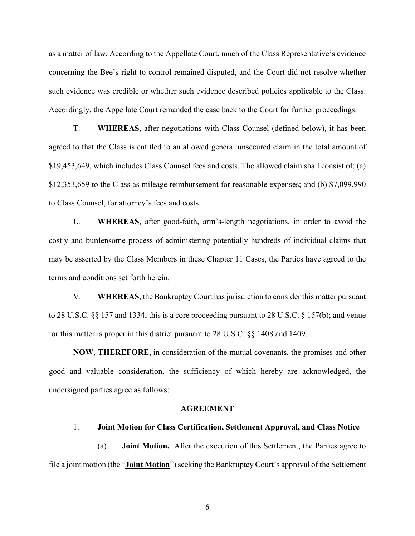as a matter of law. According to the Appellate Court, much of the Class Representative's evidence concerning the Bee's right to control remained disputed, and the Court did not resolve whether such evidence was credible or whether such evidence described policies applicable to the Class. Accordingly, the Appellate Court remanded the case back to the Court for further proceedings.

T. **WHEREAS**, after negotiations with Class Counsel (defined below), it has been agreed to that the Class is entitled to an allowed general unsecured claim in the total amount of \$19,453,649, which includes Class Counsel fees and costs. The allowed claim shall consist of: (a) \$12,353,659 to the Class as mileage reimbursement for reasonable expenses; and (b) \$7,099,990 to Class Counsel, for attorney's fees and costs.

U. **WHEREAS**, after good-faith, arm's-length negotiations, in order to avoid the costly and burdensome process of administering potentially hundreds of individual claims that may be asserted by the Class Members in these Chapter 11 Cases, the Parties have agreed to the terms and conditions set forth herein.

V. **WHEREAS**, the Bankruptcy Court has jurisdiction to consider this matter pursuant to 28 U.S.C. §§ 157 and 1334; this is a core proceeding pursuant to 28 U.S.C. § 157(b); and venue for this matter is proper in this district pursuant to 28 U.S.C. §§ 1408 and 1409.

**NOW**, **THEREFORE**, in consideration of the mutual covenants, the promises and other good and valuable consideration, the sufficiency of which hereby are acknowledged, the undersigned parties agree as follows:

#### **AGREEMENT**

#### 1. **Joint Motion for Class Certification, Settlement Approval, and Class Notice**

(a) **Joint Motion.** After the execution of this Settlement, the Parties agree to file a joint motion (the "**Joint Motion**") seeking the Bankruptcy Court's approval of the Settlement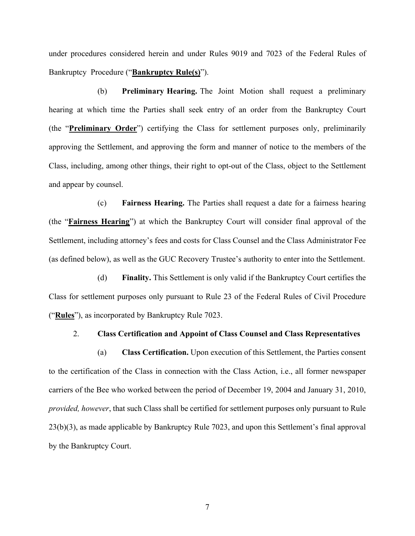under procedures considered herein and under Rules 9019 and 7023 of the Federal Rules of Bankruptcy Procedure ("**Bankruptcy Rule(s)**").

(b) **Preliminary Hearing.** The Joint Motion shall request a preliminary hearing at which time the Parties shall seek entry of an order from the Bankruptcy Court (the "**Preliminary Order**") certifying the Class for settlement purposes only, preliminarily approving the Settlement, and approving the form and manner of notice to the members of the Class, including, among other things, their right to opt-out of the Class, object to the Settlement and appear by counsel.

(c) **Fairness Hearing.** The Parties shall request a date for a fairness hearing (the "**Fairness Hearing**") at which the Bankruptcy Court will consider final approval of the Settlement, including attorney's fees and costs for Class Counsel and the Class Administrator Fee (as defined below), as well as the GUC Recovery Trustee's authority to enter into the Settlement.

(d) **Finality.** This Settlement is only valid if the Bankruptcy Court certifies the Class for settlement purposes only pursuant to Rule 23 of the Federal Rules of Civil Procedure ("**Rules**"), as incorporated by Bankruptcy Rule 7023.

#### 2. **Class Certification and Appoint of Class Counsel and Class Representatives**

(a) **Class Certification.** Upon execution of this Settlement, the Parties consent to the certification of the Class in connection with the Class Action, i.e., all former newspaper carriers of the Bee who worked between the period of December 19, 2004 and January 31, 2010, *provided, however*, that such Class shall be certified for settlement purposes only pursuant to Rule 23(b)(3), as made applicable by Bankruptcy Rule 7023, and upon this Settlement's final approval by the Bankruptcy Court.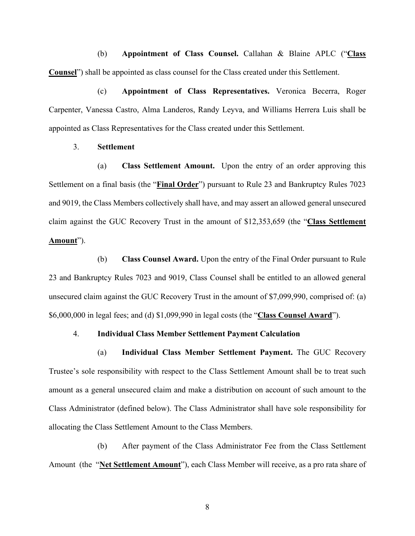(b) **Appointment of Class Counsel.** Callahan & Blaine APLC ("**Class Counsel**") shall be appointed as class counsel for the Class created under this Settlement.

(c) **Appointment of Class Representatives.** Veronica Becerra, Roger Carpenter, Vanessa Castro, Alma Landeros, Randy Leyva, and Williams Herrera Luis shall be appointed as Class Representatives for the Class created under this Settlement.

### 3. **Settlement**

(a) **Class Settlement Amount.** Upon the entry of an order approving this Settlement on a final basis (the "**Final Order**") pursuant to Rule 23 and Bankruptcy Rules 7023 and 9019, the Class Members collectively shall have, and may assert an allowed general unsecured claim against the GUC Recovery Trust in the amount of \$12,353,659 (the "**Class Settlement Amount**").

(b) **Class Counsel Award.** Upon the entry of the Final Order pursuant to Rule 23 and Bankruptcy Rules 7023 and 9019, Class Counsel shall be entitled to an allowed general unsecured claim against the GUC Recovery Trust in the amount of \$7,099,990, comprised of: (a) \$6,000,000 in legal fees; and (d) \$1,099,990 in legal costs (the "**Class Counsel Award**").

### 4. **Individual Class Member Settlement Payment Calculation**

(a) **Individual Class Member Settlement Payment.** The GUC Recovery Trustee's sole responsibility with respect to the Class Settlement Amount shall be to treat such amount as a general unsecured claim and make a distribution on account of such amount to the Class Administrator (defined below). The Class Administrator shall have sole responsibility for allocating the Class Settlement Amount to the Class Members.

(b) After payment of the Class Administrator Fee from the Class Settlement Amount (the "**Net Settlement Amount**"), each Class Member will receive, as a pro rata share of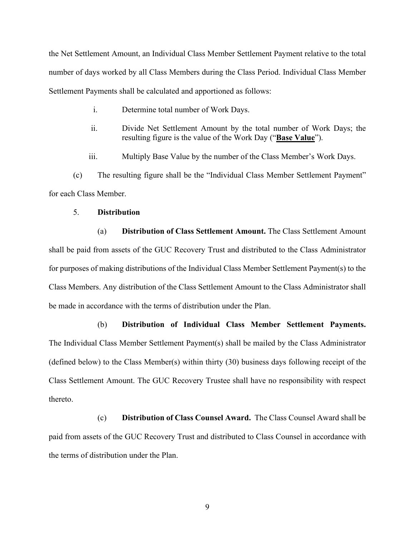the Net Settlement Amount, an Individual Class Member Settlement Payment relative to the total number of days worked by all Class Members during the Class Period. Individual Class Member Settlement Payments shall be calculated and apportioned as follows:

- i. Determine total number of Work Days.
- ii. Divide Net Settlement Amount by the total number of Work Days; the resulting figure is the value of the Work Day ("**Base Value**").
- iii. Multiply Base Value by the number of the Class Member's Work Days.

(c) The resulting figure shall be the "Individual Class Member Settlement Payment" for each Class Member.

### 5. **Distribution**

(a) **Distribution of Class Settlement Amount.** The Class Settlement Amount shall be paid from assets of the GUC Recovery Trust and distributed to the Class Administrator for purposes of making distributions of the Individual Class Member Settlement Payment(s) to the Class Members. Any distribution of the Class Settlement Amount to the Class Administrator shall be made in accordance with the terms of distribution under the Plan.

(b) **Distribution of Individual Class Member Settlement Payments.** The Individual Class Member Settlement Payment(s) shall be mailed by the Class Administrator (defined below) to the Class Member(s) within thirty (30) business days following receipt of the Class Settlement Amount. The GUC Recovery Trustee shall have no responsibility with respect thereto.

(c) **Distribution of Class Counsel Award.** The Class Counsel Award shall be paid from assets of the GUC Recovery Trust and distributed to Class Counsel in accordance with the terms of distribution under the Plan.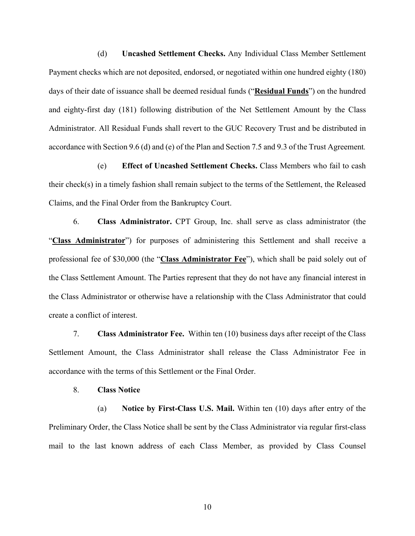(d) **Uncashed Settlement Checks.** Any Individual Class Member Settlement Payment checks which are not deposited, endorsed, or negotiated within one hundred eighty (180) days of their date of issuance shall be deemed residual funds ("**Residual Funds**") on the hundred and eighty-first day (181) following distribution of the Net Settlement Amount by the Class Administrator. All Residual Funds shall revert to the GUC Recovery Trust and be distributed in accordance with Section 9.6 (d) and (e) of the Plan and Section 7.5 and 9.3 of the Trust Agreement*.*

(e) **Effect of Uncashed Settlement Checks.** Class Members who fail to cash their check(s) in a timely fashion shall remain subject to the terms of the Settlement, the Released Claims, and the Final Order from the Bankruptcy Court.

6. **Class Administrator.** CPT Group, Inc. shall serve as class administrator (the "**Class Administrator**") for purposes of administering this Settlement and shall receive a professional fee of \$30,000 (the "**Class Administrator Fee**"), which shall be paid solely out of the Class Settlement Amount. The Parties represent that they do not have any financial interest in the Class Administrator or otherwise have a relationship with the Class Administrator that could create a conflict of interest.

7. **Class Administrator Fee.** Within ten (10) business days after receipt of the Class Settlement Amount, the Class Administrator shall release the Class Administrator Fee in accordance with the terms of this Settlement or the Final Order.

#### 8. **Class Notice**

(a) **Notice by First-Class U.S. Mail.** Within ten (10) days after entry of the Preliminary Order, the Class Notice shall be sent by the Class Administrator via regular first-class mail to the last known address of each Class Member, as provided by Class Counsel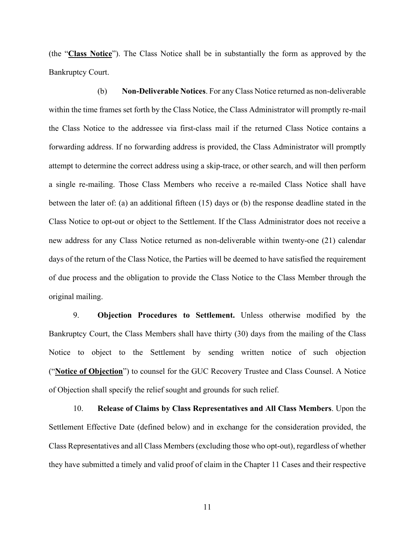(the "**Class Notice**"). The Class Notice shall be in substantially the form as approved by the Bankruptcy Court.

(b) **Non-Deliverable Notices**. For any Class Notice returned as non-deliverable within the time frames set forth by the Class Notice, the Class Administrator will promptly re-mail the Class Notice to the addressee via first-class mail if the returned Class Notice contains a forwarding address. If no forwarding address is provided, the Class Administrator will promptly attempt to determine the correct address using a skip-trace, or other search, and will then perform a single re-mailing. Those Class Members who receive a re-mailed Class Notice shall have between the later of: (a) an additional fifteen (15) days or (b) the response deadline stated in the Class Notice to opt-out or object to the Settlement. If the Class Administrator does not receive a new address for any Class Notice returned as non-deliverable within twenty-one (21) calendar days of the return of the Class Notice, the Parties will be deemed to have satisfied the requirement of due process and the obligation to provide the Class Notice to the Class Member through the original mailing.

9. **Objection Procedures to Settlement.** Unless otherwise modified by the Bankruptcy Court, the Class Members shall have thirty (30) days from the mailing of the Class Notice to object to the Settlement by sending written notice of such objection ("**Notice of Objection**") to counsel for the GUC Recovery Trustee and Class Counsel. A Notice of Objection shall specify the relief sought and grounds for such relief.

10. **Release of Claims by Class Representatives and All Class Members**. Upon the Settlement Effective Date (defined below) and in exchange for the consideration provided, the Class Representatives and all Class Members (excluding those who opt-out), regardless of whether they have submitted a timely and valid proof of claim in the Chapter 11 Cases and their respective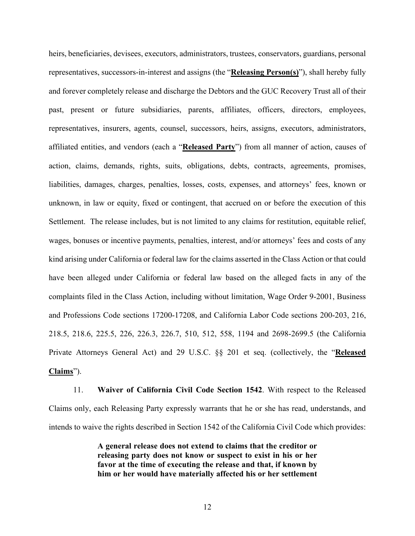heirs, beneficiaries, devisees, executors, administrators, trustees, conservators, guardians, personal representatives, successors-in-interest and assigns (the "**Releasing Person(s)**"), shall hereby fully and forever completely release and discharge the Debtors and the GUC Recovery Trust all of their past, present or future subsidiaries, parents, affiliates, officers, directors, employees, representatives, insurers, agents, counsel, successors, heirs, assigns, executors, administrators, affiliated entities, and vendors (each a "**Released Party**") from all manner of action, causes of action, claims, demands, rights, suits, obligations, debts, contracts, agreements, promises, liabilities, damages, charges, penalties, losses, costs, expenses, and attorneys' fees, known or unknown, in law or equity, fixed or contingent, that accrued on or before the execution of this Settlement. The release includes, but is not limited to any claims for restitution, equitable relief, wages, bonuses or incentive payments, penalties, interest, and/or attorneys' fees and costs of any kind arising under California or federal law for the claims asserted in the Class Action or that could have been alleged under California or federal law based on the alleged facts in any of the complaints filed in the Class Action, including without limitation, Wage Order 9-2001, Business and Professions Code sections 17200-17208, and California Labor Code sections 200-203, 216, 218.5, 218.6, 225.5, 226, 226.3, 226.7, 510, 512, 558, 1194 and 2698-2699.5 (the California Private Attorneys General Act) and 29 U.S.C. §§ 201 et seq. (collectively, the "**Released Claims**").

11. **Waiver of California Civil Code Section 1542**. With respect to the Released Claims only, each Releasing Party expressly warrants that he or she has read, understands, and intends to waive the rights described in Section 1542 of the California Civil Code which provides:

> **A general release does not extend to claims that the creditor or releasing party does not know or suspect to exist in his or her favor at the time of executing the release and that, if known by him or her would have materially affected his or her settlement**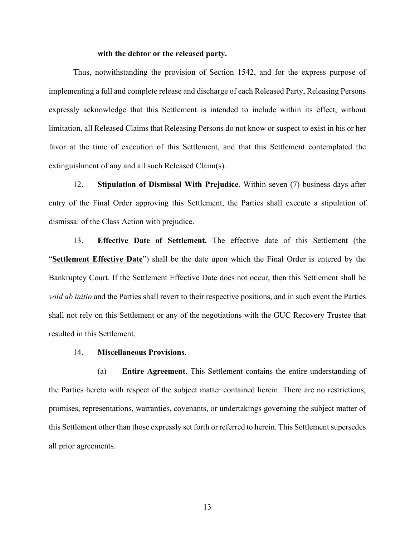#### **with the debtor or the released party.**

Thus, notwithstanding the provision of Section 1542, and for the express purpose of implementing a full and complete release and discharge of each Released Party, Releasing Persons expressly acknowledge that this Settlement is intended to include within its effect, without limitation, all Released Claims that Releasing Persons do not know or suspect to exist in his or her favor at the time of execution of this Settlement, and that this Settlement contemplated the extinguishment of any and all such Released Claim(s).

12. **Stipulation of Dismissal With Prejudice**. Within seven (7) business days after entry of the Final Order approving this Settlement, the Parties shall execute a stipulation of dismissal of the Class Action with prejudice.

13. **Effective Date of Settlement.** The effective date of this Settlement (the "**Settlement Effective Date**") shall be the date upon which the Final Order is entered by the Bankruptcy Court. If the Settlement Effective Date does not occur, then this Settlement shall be *void ab initio* and the Parties shall revert to their respective positions, and in such event the Parties shall not rely on this Settlement or any of the negotiations with the GUC Recovery Trustee that resulted in this Settlement.

#### 14. **Miscellaneous Provisions**.

(a) **Entire Agreement**. This Settlement contains the entire understanding of the Parties hereto with respect of the subject matter contained herein. There are no restrictions, promises, representations, warranties, covenants, or undertakings governing the subject matter of this Settlement other than those expressly set forth or referred to herein. This Settlement supersedes all prior agreements.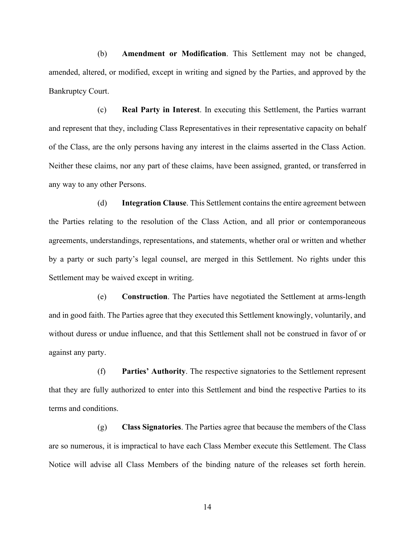(b) **Amendment or Modification**. This Settlement may not be changed, amended, altered, or modified, except in writing and signed by the Parties, and approved by the Bankruptcy Court.

(c) **Real Party in Interest**. In executing this Settlement, the Parties warrant and represent that they, including Class Representatives in their representative capacity on behalf of the Class, are the only persons having any interest in the claims asserted in the Class Action. Neither these claims, nor any part of these claims, have been assigned, granted, or transferred in any way to any other Persons.

(d) **Integration Clause**. This Settlement contains the entire agreement between the Parties relating to the resolution of the Class Action, and all prior or contemporaneous agreements, understandings, representations, and statements, whether oral or written and whether by a party or such party's legal counsel, are merged in this Settlement. No rights under this Settlement may be waived except in writing.

(e) **Construction**. The Parties have negotiated the Settlement at arms-length and in good faith. The Parties agree that they executed this Settlement knowingly, voluntarily, and without duress or undue influence, and that this Settlement shall not be construed in favor of or against any party.

(f) **Parties' Authority**. The respective signatories to the Settlement represent that they are fully authorized to enter into this Settlement and bind the respective Parties to its terms and conditions.

(g) **Class Signatories**. The Parties agree that because the members of the Class are so numerous, it is impractical to have each Class Member execute this Settlement. The Class Notice will advise all Class Members of the binding nature of the releases set forth herein.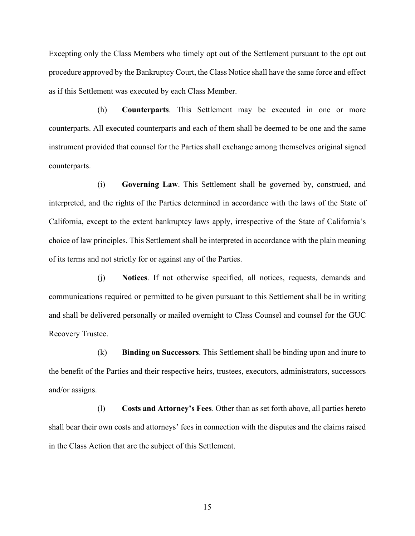Excepting only the Class Members who timely opt out of the Settlement pursuant to the opt out procedure approved by the Bankruptcy Court, the Class Notice shall have the same force and effect as if this Settlement was executed by each Class Member.

(h) **Counterparts**. This Settlement may be executed in one or more counterparts. All executed counterparts and each of them shall be deemed to be one and the same instrument provided that counsel for the Parties shall exchange among themselves original signed counterparts.

(i) **Governing Law**. This Settlement shall be governed by, construed, and interpreted, and the rights of the Parties determined in accordance with the laws of the State of California, except to the extent bankruptcy laws apply, irrespective of the State of California's choice of law principles. This Settlement shall be interpreted in accordance with the plain meaning of its terms and not strictly for or against any of the Parties.

(j) **Notices**. If not otherwise specified, all notices, requests, demands and communications required or permitted to be given pursuant to this Settlement shall be in writing and shall be delivered personally or mailed overnight to Class Counsel and counsel for the GUC Recovery Trustee.

(k) **Binding on Successors**. This Settlement shall be binding upon and inure to the benefit of the Parties and their respective heirs, trustees, executors, administrators, successors and/or assigns.

(l) **Costs and Attorney's Fees**. Other than as set forth above, all parties hereto shall bear their own costs and attorneys' fees in connection with the disputes and the claims raised in the Class Action that are the subject of this Settlement.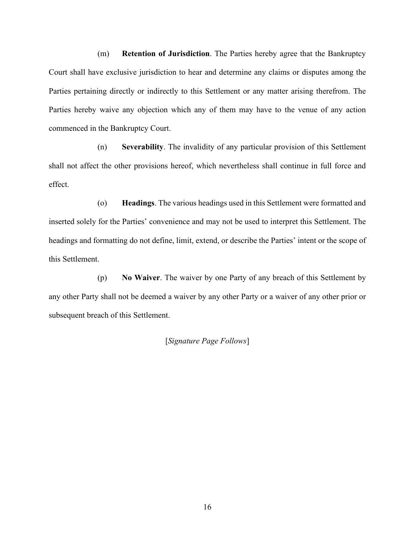(m) **Retention of Jurisdiction**. The Parties hereby agree that the Bankruptcy Court shall have exclusive jurisdiction to hear and determine any claims or disputes among the Parties pertaining directly or indirectly to this Settlement or any matter arising therefrom. The Parties hereby waive any objection which any of them may have to the venue of any action commenced in the Bankruptcy Court.

(n) **Severability**. The invalidity of any particular provision of this Settlement shall not affect the other provisions hereof, which nevertheless shall continue in full force and effect.

(o) **Headings**. The various headings used in this Settlement were formatted and inserted solely for the Parties' convenience and may not be used to interpret this Settlement. The headings and formatting do not define, limit, extend, or describe the Parties' intent or the scope of this Settlement.

(p) **No Waiver**. The waiver by one Party of any breach of this Settlement by any other Party shall not be deemed a waiver by any other Party or a waiver of any other prior or subsequent breach of this Settlement.

### [*Signature Page Follows*]